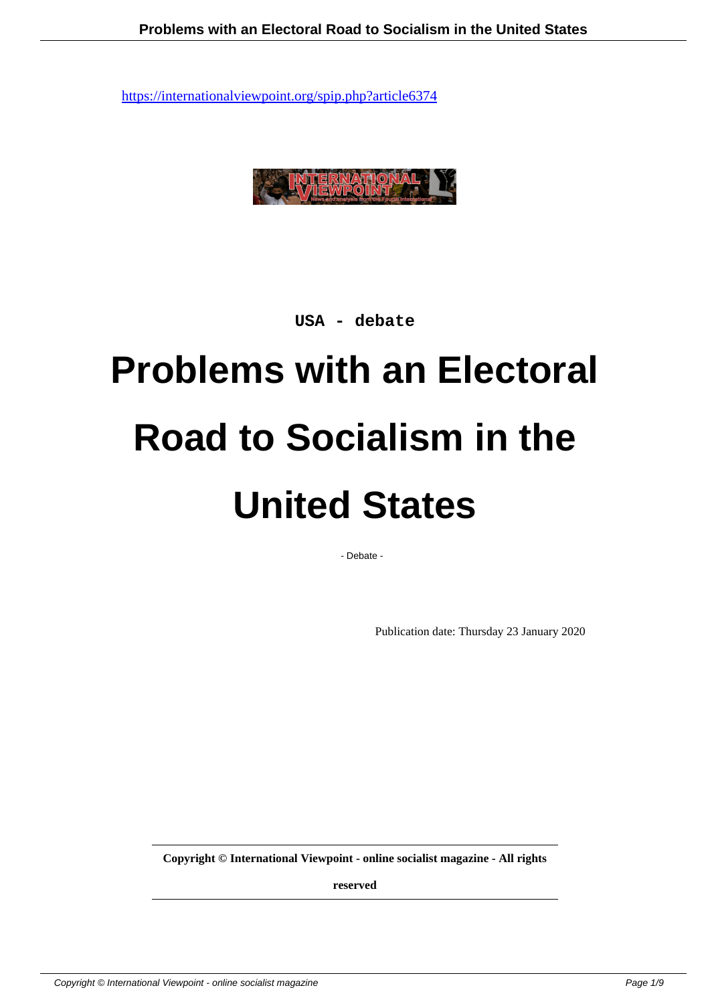

**USA - debate**

# **Problems with an Electoral Road to Socialism in the United States**

- Debate -

Publication date: Thursday 23 January 2020

**Copyright © International Viewpoint - online socialist magazine - All rights**

**reserved**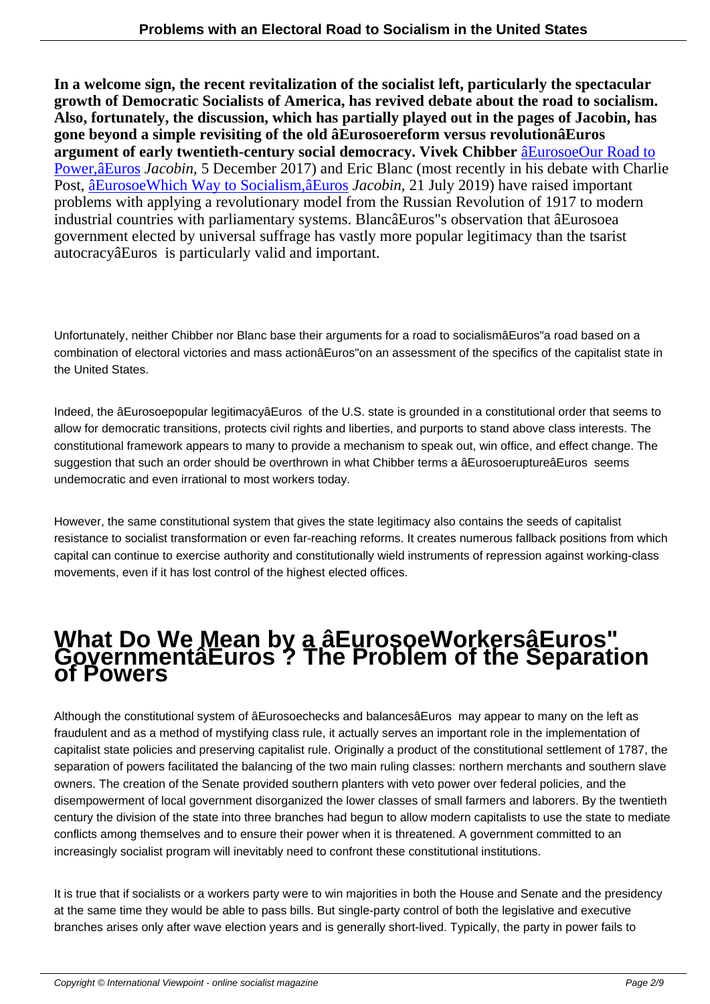**In a welcome sign, the recent revitalization of the socialist left, particularly the spectacular growth of Democratic Socialists of America, has revived debate about the road to socialism. Also, fortunately, the discussion, which has partially played out in the pages of Jacobin, has gone beyond a simple revisiting of the old âEurosoereform versus revolutionâEuros argument of early twentieth-century social democracy. Vivek Chibber** âEurosoeOur Road to Power,âEuros *Jacobin*, 5 December 2017) and Eric Blanc (most recently in his debate with Charlie Post, âEurosoeWhich Way to Socialism,âEuros *Jacobin*, 21 July 2019) have raised important problems with applying a revolutionary model from the Russian Revolutio[n of 1917 to modern](https://www.jacobinmag.com/2017/12/our-road-to-power) [industrial coun](https://www.jacobinmag.com/2017/12/our-road-to-power)tries with parliamentary systems. BlancâEuros"s observation that âEurosoea government elected by universal suffrage has vastly more popular legitimacy than the tsarist autoc[racyâEuros is particularly valid and impor](https://www.jacobinmag.com/2019/07/socialism-revolution-electoral-politics-mass-action)tant.

Unfortunately, neither Chibber nor Blanc base their arguments for a road to socialismâEuros"a road based on a combination of electoral victories and mass actionâEuros"on an assessment of the specifics of the capitalist state in the United States.

Indeed, the âEurosoepopular legitimacyâEuros of the U.S. state is grounded in a constitutional order that seems to allow for democratic transitions, protects civil rights and liberties, and purports to stand above class interests. The constitutional framework appears to many to provide a mechanism to speak out, win office, and effect change. The suggestion that such an order should be overthrown in what Chibber terms a âEurosoeruptureâEuros seems undemocratic and even irrational to most workers today.

However, the same constitutional system that gives the state legitimacy also contains the seeds of capitalist resistance to socialist transformation or even far-reaching reforms. It creates numerous fallback positions from which capital can continue to exercise authority and constitutionally wield instruments of repression against working-class movements, even if it has lost control of the highest elected offices.

# **What Do We Mean by a âEurosoeWorkersâEuros" GovernmentâEuros ? The Problem of the Separation of Powers**

Although the constitutional system of âEurosoechecks and balancesâEuros may appear to many on the left as fraudulent and as a method of mystifying class rule, it actually serves an important role in the implementation of capitalist state policies and preserving capitalist rule. Originally a product of the constitutional settlement of 1787, the separation of powers facilitated the balancing of the two main ruling classes: northern merchants and southern slave owners. The creation of the Senate provided southern planters with veto power over federal policies, and the disempowerment of local government disorganized the lower classes of small farmers and laborers. By the twentieth century the division of the state into three branches had begun to allow modern capitalists to use the state to mediate conflicts among themselves and to ensure their power when it is threatened. A government committed to an increasingly socialist program will inevitably need to confront these constitutional institutions.

It is true that if socialists or a workers party were to win majorities in both the House and Senate and the presidency at the same time they would be able to pass bills. But single-party control of both the legislative and executive branches arises only after wave election years and is generally short-lived. Typically, the party in power fails to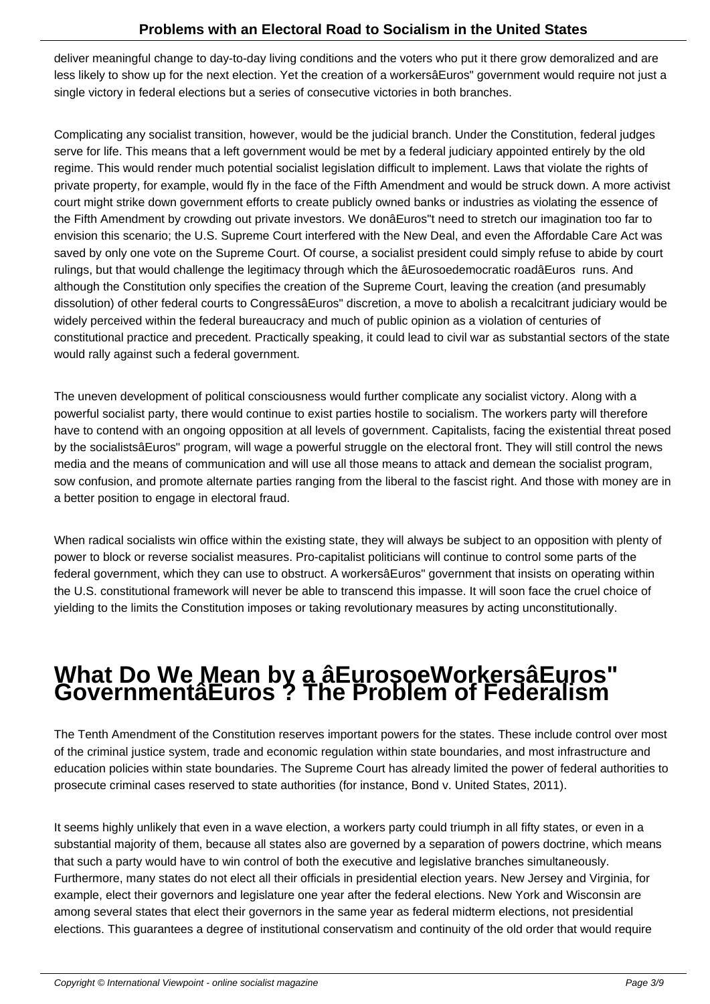deliver meaningful change to day-to-day living conditions and the voters who put it there grow demoralized and are less likely to show up for the next election. Yet the creation of a workersâEuros" government would require not just a single victory in federal elections but a series of consecutive victories in both branches.

Complicating any socialist transition, however, would be the judicial branch. Under the Constitution, federal judges serve for life. This means that a left government would be met by a federal judiciary appointed entirely by the old regime. This would render much potential socialist legislation difficult to implement. Laws that violate the rights of private property, for example, would fly in the face of the Fifth Amendment and would be struck down. A more activist court might strike down government efforts to create publicly owned banks or industries as violating the essence of the Fifth Amendment by crowding out private investors. We donâEuros"t need to stretch our imagination too far to envision this scenario; the U.S. Supreme Court interfered with the New Deal, and even the Affordable Care Act was saved by only one vote on the Supreme Court. Of course, a socialist president could simply refuse to abide by court rulings, but that would challenge the legitimacy through which the âEurosoedemocratic roadâEuros runs. And although the Constitution only specifies the creation of the Supreme Court, leaving the creation (and presumably dissolution) of other federal courts to CongressâEuros" discretion, a move to abolish a recalcitrant judiciary would be widely perceived within the federal bureaucracy and much of public opinion as a violation of centuries of constitutional practice and precedent. Practically speaking, it could lead to civil war as substantial sectors of the state would rally against such a federal government.

The uneven development of political consciousness would further complicate any socialist victory. Along with a powerful socialist party, there would continue to exist parties hostile to socialism. The workers party will therefore have to contend with an ongoing opposition at all levels of government. Capitalists, facing the existential threat posed by the socialistsâEuros" program, will wage a powerful struggle on the electoral front. They will still control the news media and the means of communication and will use all those means to attack and demean the socialist program, sow confusion, and promote alternate parties ranging from the liberal to the fascist right. And those with money are in a better position to engage in electoral fraud.

When radical socialists win office within the existing state, they will always be subject to an opposition with plenty of power to block or reverse socialist measures. Pro-capitalist politicians will continue to control some parts of the federal government, which they can use to obstruct. A workersâEuros" government that insists on operating within the U.S. constitutional framework will never be able to transcend this impasse. It will soon face the cruel choice of yielding to the limits the Constitution imposes or taking revolutionary measures by acting unconstitutionally.

### **What Do We Mean by a âEurosoeWorkersâEuros" GovernmentâEuros ? The Problem of Federalism**

The Tenth Amendment of the Constitution reserves important powers for the states. These include control over most of the criminal justice system, trade and economic regulation within state boundaries, and most infrastructure and education policies within state boundaries. The Supreme Court has already limited the power of federal authorities to prosecute criminal cases reserved to state authorities (for instance, Bond v. United States, 2011).

It seems highly unlikely that even in a wave election, a workers party could triumph in all fifty states, or even in a substantial majority of them, because all states also are governed by a separation of powers doctrine, which means that such a party would have to win control of both the executive and legislative branches simultaneously. Furthermore, many states do not elect all their officials in presidential election years. New Jersey and Virginia, for example, elect their governors and legislature one year after the federal elections. New York and Wisconsin are among several states that elect their governors in the same year as federal midterm elections, not presidential elections. This guarantees a degree of institutional conservatism and continuity of the old order that would require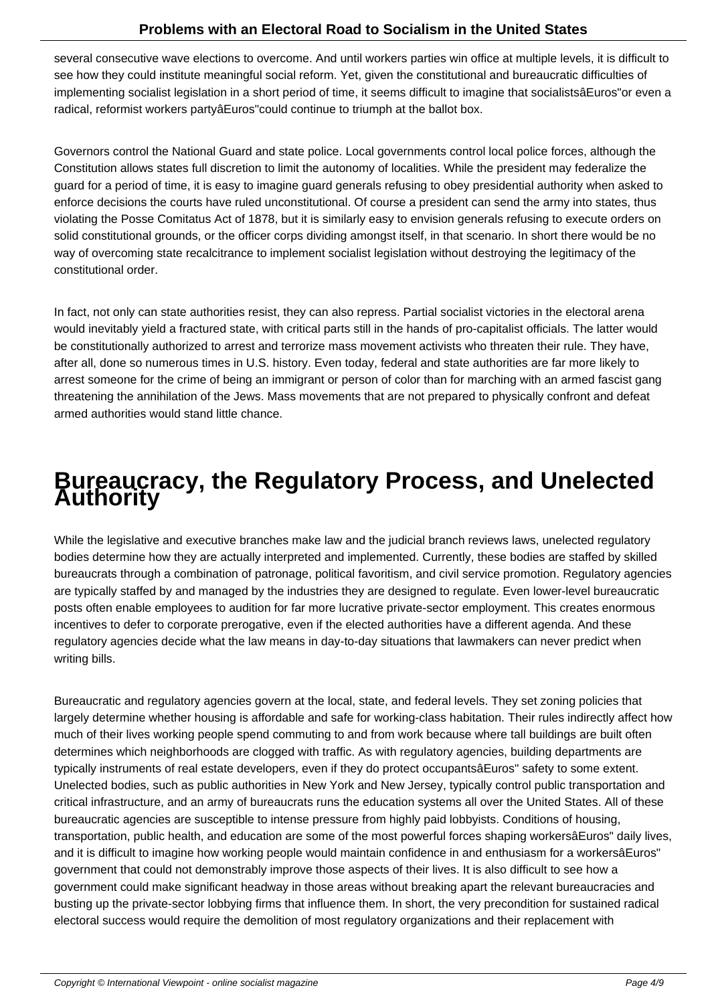several consecutive wave elections to overcome. And until workers parties win office at multiple levels, it is difficult to see how they could institute meaningful social reform. Yet, given the constitutional and bureaucratic difficulties of implementing socialist legislation in a short period of time, it seems difficult to imagine that socialistsâEuros"or even a radical, reformist workers partyâEuros"could continue to triumph at the ballot box.

Governors control the National Guard and state police. Local governments control local police forces, although the Constitution allows states full discretion to limit the autonomy of localities. While the president may federalize the guard for a period of time, it is easy to imagine guard generals refusing to obey presidential authority when asked to enforce decisions the courts have ruled unconstitutional. Of course a president can send the army into states, thus violating the Posse Comitatus Act of 1878, but it is similarly easy to envision generals refusing to execute orders on solid constitutional grounds, or the officer corps dividing amongst itself, in that scenario. In short there would be no way of overcoming state recalcitrance to implement socialist legislation without destroying the legitimacy of the constitutional order.

In fact, not only can state authorities resist, they can also repress. Partial socialist victories in the electoral arena would inevitably yield a fractured state, with critical parts still in the hands of pro-capitalist officials. The latter would be constitutionally authorized to arrest and terrorize mass movement activists who threaten their rule. They have, after all, done so numerous times in U.S. history. Even today, federal and state authorities are far more likely to arrest someone for the crime of being an immigrant or person of color than for marching with an armed fascist gang threatening the annihilation of the Jews. Mass movements that are not prepared to physically confront and defeat armed authorities would stand little chance.

## **Bureaucracy, the Regulatory Process, and Unelected Authority**

While the legislative and executive branches make law and the judicial branch reviews laws, unelected regulatory bodies determine how they are actually interpreted and implemented. Currently, these bodies are staffed by skilled bureaucrats through a combination of patronage, political favoritism, and civil service promotion. Regulatory agencies are typically staffed by and managed by the industries they are designed to regulate. Even lower-level bureaucratic posts often enable employees to audition for far more lucrative private-sector employment. This creates enormous incentives to defer to corporate prerogative, even if the elected authorities have a different agenda. And these regulatory agencies decide what the law means in day-to-day situations that lawmakers can never predict when writing bills.

Bureaucratic and regulatory agencies govern at the local, state, and federal levels. They set zoning policies that largely determine whether housing is affordable and safe for working-class habitation. Their rules indirectly affect how much of their lives working people spend commuting to and from work because where tall buildings are built often determines which neighborhoods are clogged with traffic. As with regulatory agencies, building departments are typically instruments of real estate developers, even if they do protect occupantsâEuros" safety to some extent. Unelected bodies, such as public authorities in New York and New Jersey, typically control public transportation and critical infrastructure, and an army of bureaucrats runs the education systems all over the United States. All of these bureaucratic agencies are susceptible to intense pressure from highly paid lobbyists. Conditions of housing, transportation, public health, and education are some of the most powerful forces shaping workersâEuros" daily lives, and it is difficult to imagine how working people would maintain confidence in and enthusiasm for a workersâEuros" government that could not demonstrably improve those aspects of their lives. It is also difficult to see how a government could make significant headway in those areas without breaking apart the relevant bureaucracies and busting up the private-sector lobbying firms that influence them. In short, the very precondition for sustained radical electoral success would require the demolition of most regulatory organizations and their replacement with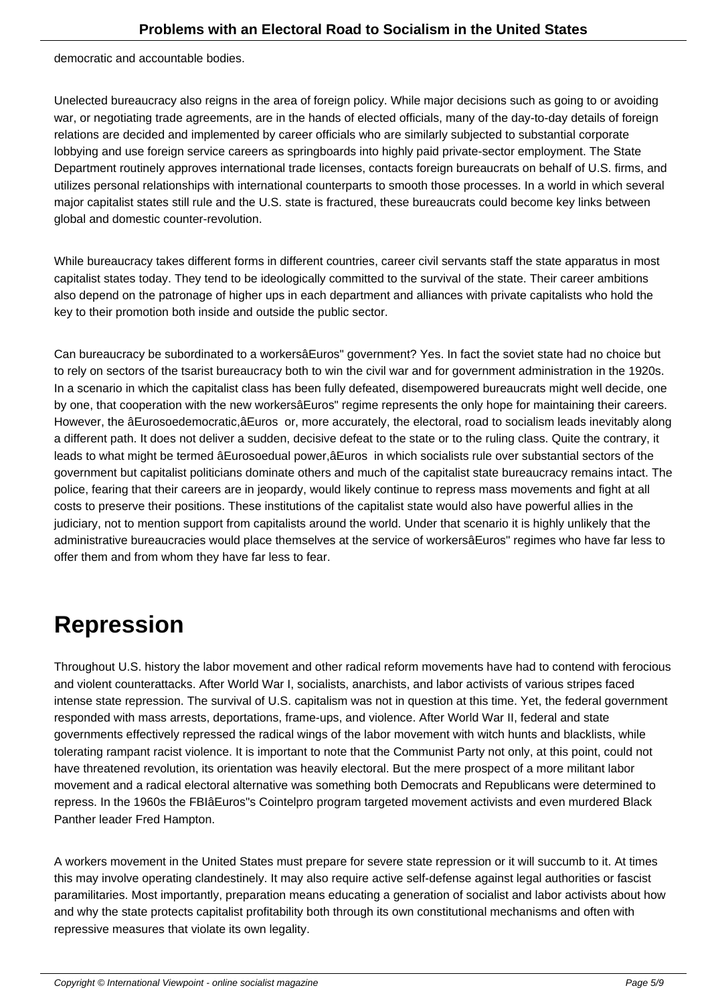democratic and accountable bodies.

Unelected bureaucracy also reigns in the area of foreign policy. While major decisions such as going to or avoiding war, or negotiating trade agreements, are in the hands of elected officials, many of the day-to-day details of foreign relations are decided and implemented by career officials who are similarly subjected to substantial corporate lobbying and use foreign service careers as springboards into highly paid private-sector employment. The State Department routinely approves international trade licenses, contacts foreign bureaucrats on behalf of U.S. firms, and utilizes personal relationships with international counterparts to smooth those processes. In a world in which several major capitalist states still rule and the U.S. state is fractured, these bureaucrats could become key links between global and domestic counter-revolution.

While bureaucracy takes different forms in different countries, career civil servants staff the state apparatus in most capitalist states today. They tend to be ideologically committed to the survival of the state. Their career ambitions also depend on the patronage of higher ups in each department and alliances with private capitalists who hold the key to their promotion both inside and outside the public sector.

Can bureaucracy be subordinated to a workersâEuros" government? Yes. In fact the soviet state had no choice but to rely on sectors of the tsarist bureaucracy both to win the civil war and for government administration in the 1920s. In a scenario in which the capitalist class has been fully defeated, disempowered bureaucrats might well decide, one by one, that cooperation with the new workersâEuros" regime represents the only hope for maintaining their careers. However, the âEurosoedemocratic,âEuros or, more accurately, the electoral, road to socialism leads inevitably along a different path. It does not deliver a sudden, decisive defeat to the state or to the ruling class. Quite the contrary, it leads to what might be termed âEurosoedual power,âEuros in which socialists rule over substantial sectors of the government but capitalist politicians dominate others and much of the capitalist state bureaucracy remains intact. The police, fearing that their careers are in jeopardy, would likely continue to repress mass movements and fight at all costs to preserve their positions. These institutions of the capitalist state would also have powerful allies in the judiciary, not to mention support from capitalists around the world. Under that scenario it is highly unlikely that the administrative bureaucracies would place themselves at the service of workersâEuros" regimes who have far less to offer them and from whom they have far less to fear.

### **Repression**

Throughout U.S. history the labor movement and other radical reform movements have had to contend with ferocious and violent counterattacks. After World War I, socialists, anarchists, and labor activists of various stripes faced intense state repression. The survival of U.S. capitalism was not in question at this time. Yet, the federal government responded with mass arrests, deportations, frame-ups, and violence. After World War II, federal and state governments effectively repressed the radical wings of the labor movement with witch hunts and blacklists, while tolerating rampant racist violence. It is important to note that the Communist Party not only, at this point, could not have threatened revolution, its orientation was heavily electoral. But the mere prospect of a more militant labor movement and a radical electoral alternative was something both Democrats and Republicans were determined to repress. In the 1960s the FBIâEuros"s Cointelpro program targeted movement activists and even murdered Black Panther leader Fred Hampton.

A workers movement in the United States must prepare for severe state repression or it will succumb to it. At times this may involve operating clandestinely. It may also require active self-defense against legal authorities or fascist paramilitaries. Most importantly, preparation means educating a generation of socialist and labor activists about how and why the state protects capitalist profitability both through its own constitutional mechanisms and often with repressive measures that violate its own legality.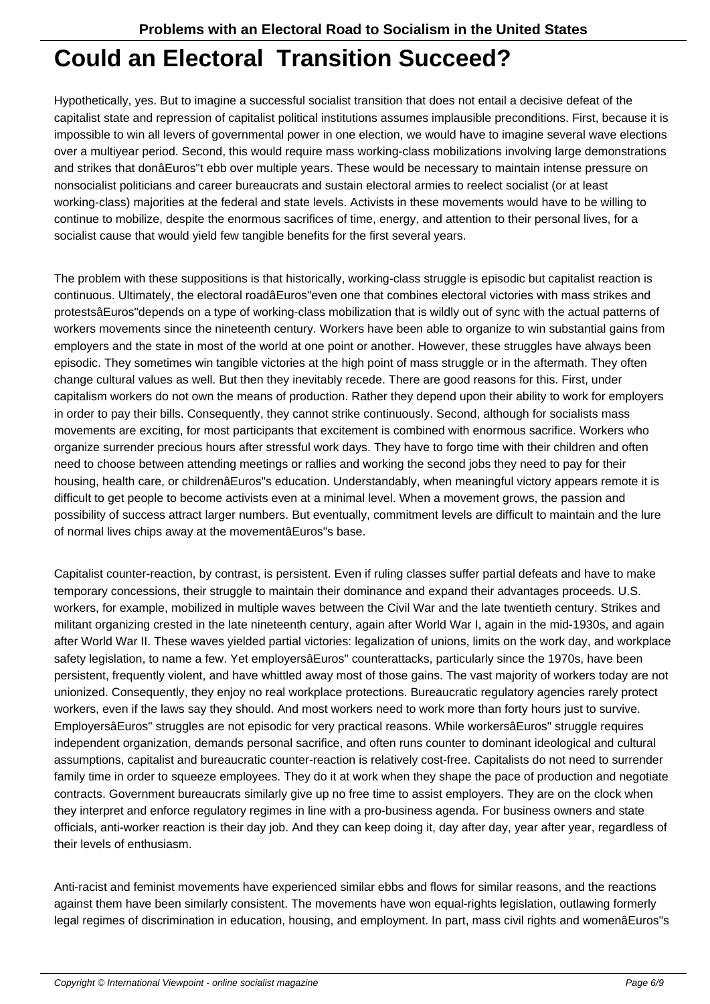#### **Could an Electoral Transition Succeed?**

Hypothetically, yes. But to imagine a successful socialist transition that does not entail a decisive defeat of the capitalist state and repression of capitalist political institutions assumes implausible preconditions. First, because it is impossible to win all levers of governmental power in one election, we would have to imagine several wave elections over a multiyear period. Second, this would require mass working-class mobilizations involving large demonstrations and strikes that donâEuros"t ebb over multiple years. These would be necessary to maintain intense pressure on nonsocialist politicians and career bureaucrats and sustain electoral armies to reelect socialist (or at least working-class) majorities at the federal and state levels. Activists in these movements would have to be willing to continue to mobilize, despite the enormous sacrifices of time, energy, and attention to their personal lives, for a socialist cause that would yield few tangible benefits for the first several years.

The problem with these suppositions is that historically, working-class struggle is episodic but capitalist reaction is continuous. Ultimately, the electoral roadâEuros"even one that combines electoral victories with mass strikes and protestsâEuros"depends on a type of working-class mobilization that is wildly out of sync with the actual patterns of workers movements since the nineteenth century. Workers have been able to organize to win substantial gains from employers and the state in most of the world at one point or another. However, these struggles have always been episodic. They sometimes win tangible victories at the high point of mass struggle or in the aftermath. They often change cultural values as well. But then they inevitably recede. There are good reasons for this. First, under capitalism workers do not own the means of production. Rather they depend upon their ability to work for employers in order to pay their bills. Consequently, they cannot strike continuously. Second, although for socialists mass movements are exciting, for most participants that excitement is combined with enormous sacrifice. Workers who organize surrender precious hours after stressful work days. They have to forgo time with their children and often need to choose between attending meetings or rallies and working the second jobs they need to pay for their housing, health care, or childrenâEuros"s education. Understandably, when meaningful victory appears remote it is difficult to get people to become activists even at a minimal level. When a movement grows, the passion and possibility of success attract larger numbers. But eventually, commitment levels are difficult to maintain and the lure of normal lives chips away at the movementâEuros"s base.

Capitalist counter-reaction, by contrast, is persistent. Even if ruling classes suffer partial defeats and have to make temporary concessions, their struggle to maintain their dominance and expand their advantages proceeds. U.S. workers, for example, mobilized in multiple waves between the Civil War and the late twentieth century. Strikes and militant organizing crested in the late nineteenth century, again after World War I, again in the mid-1930s, and again after World War II. These waves yielded partial victories: legalization of unions, limits on the work day, and workplace safety legislation, to name a few. Yet employersâEuros" counterattacks, particularly since the 1970s, have been persistent, frequently violent, and have whittled away most of those gains. The vast majority of workers today are not unionized. Consequently, they enjoy no real workplace protections. Bureaucratic regulatory agencies rarely protect workers, even if the laws say they should. And most workers need to work more than forty hours just to survive. EmployersâEuros" struggles are not episodic for very practical reasons. While workersâEuros" struggle requires independent organization, demands personal sacrifice, and often runs counter to dominant ideological and cultural assumptions, capitalist and bureaucratic counter-reaction is relatively cost-free. Capitalists do not need to surrender family time in order to squeeze employees. They do it at work when they shape the pace of production and negotiate contracts. Government bureaucrats similarly give up no free time to assist employers. They are on the clock when they interpret and enforce regulatory regimes in line with a pro-business agenda. For business owners and state officials, anti-worker reaction is their day job. And they can keep doing it, day after day, year after year, regardless of their levels of enthusiasm.

Anti-racist and feminist movements have experienced similar ebbs and flows for similar reasons, and the reactions against them have been similarly consistent. The movements have won equal-rights legislation, outlawing formerly legal regimes of discrimination in education, housing, and employment. In part, mass civil rights and womenâEuros"s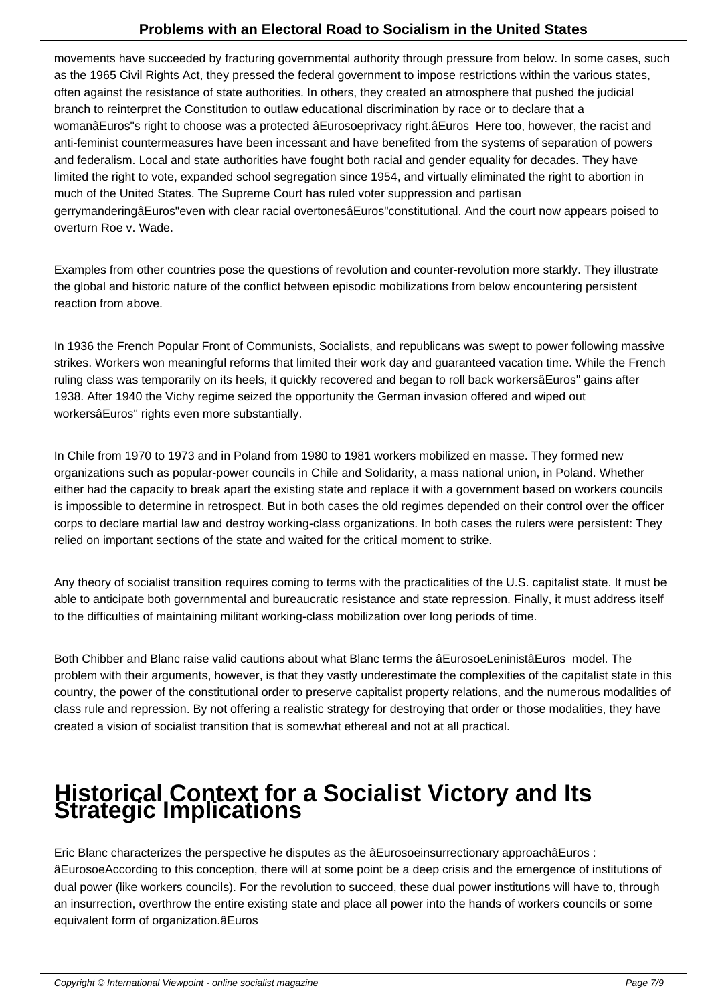movements have succeeded by fracturing governmental authority through pressure from below. In some cases, such as the 1965 Civil Rights Act, they pressed the federal government to impose restrictions within the various states, often against the resistance of state authorities. In others, they created an atmosphere that pushed the judicial branch to reinterpret the Constitution to outlaw educational discrimination by race or to declare that a womanâEuros"s right to choose was a protected âEurosoeprivacy right.âEuros Here too, however, the racist and anti-feminist countermeasures have been incessant and have benefited from the systems of separation of powers and federalism. Local and state authorities have fought both racial and gender equality for decades. They have limited the right to vote, expanded school segregation since 1954, and virtually eliminated the right to abortion in much of the United States. The Supreme Court has ruled voter suppression and partisan gerrymanderingâEuros"even with clear racial overtonesâEuros"constitutional. And the court now appears poised to overturn Roe v. Wade.

Examples from other countries pose the questions of revolution and counter-revolution more starkly. They illustrate the global and historic nature of the conflict between episodic mobilizations from below encountering persistent reaction from above.

In 1936 the French Popular Front of Communists, Socialists, and republicans was swept to power following massive strikes. Workers won meaningful reforms that limited their work day and guaranteed vacation time. While the French ruling class was temporarily on its heels, it quickly recovered and began to roll back workersâEuros" gains after 1938. After 1940 the Vichy regime seized the opportunity the German invasion offered and wiped out workersâEuros" rights even more substantially.

In Chile from 1970 to 1973 and in Poland from 1980 to 1981 workers mobilized en masse. They formed new organizations such as popular-power councils in Chile and Solidarity, a mass national union, in Poland. Whether either had the capacity to break apart the existing state and replace it with a government based on workers councils is impossible to determine in retrospect. But in both cases the old regimes depended on their control over the officer corps to declare martial law and destroy working-class organizations. In both cases the rulers were persistent: They relied on important sections of the state and waited for the critical moment to strike.

Any theory of socialist transition requires coming to terms with the practicalities of the U.S. capitalist state. It must be able to anticipate both governmental and bureaucratic resistance and state repression. Finally, it must address itself to the difficulties of maintaining militant working-class mobilization over long periods of time.

Both Chibber and Blanc raise valid cautions about what Blanc terms the âEurosoeLeninistâEuros model. The problem with their arguments, however, is that they vastly underestimate the complexities of the capitalist state in this country, the power of the constitutional order to preserve capitalist property relations, and the numerous modalities of class rule and repression. By not offering a realistic strategy for destroying that order or those modalities, they have created a vision of socialist transition that is somewhat ethereal and not at all practical.

## **Historical Context for a Socialist Victory and Its Strategic Implications**

Eric Blanc characterizes the perspective he disputes as the âEurosoeinsurrectionary approachâEuros : âEurosoeAccording to this conception, there will at some point be a deep crisis and the emergence of institutions of dual power (like workers councils). For the revolution to succeed, these dual power institutions will have to, through an insurrection, overthrow the entire existing state and place all power into the hands of workers councils or some equivalent form of organization.âEuros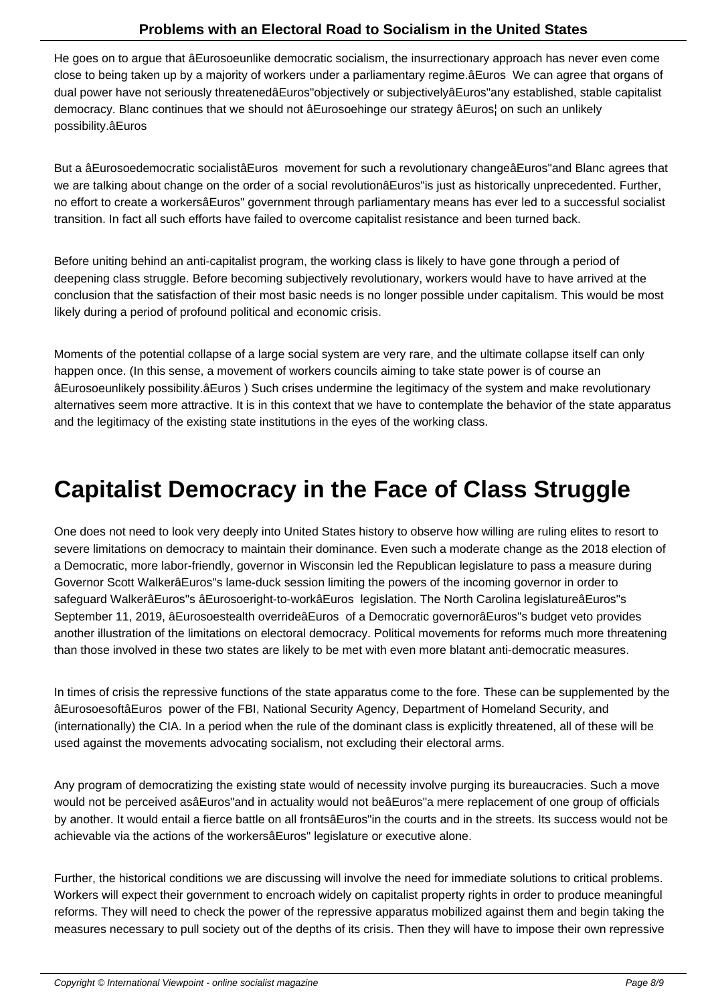He goes on to argue that âEurosoeunlike democratic socialism, the insurrectionary approach has never even come close to being taken up by a majority of workers under a parliamentary regime.âEuros We can agree that organs of dual power have not seriously threatenedâEuros"objectively or subjectivelyâEuros"any established, stable capitalist democracy. Blanc continues that we should not âEurosoehinge our strategy âEuros¦ on such an unlikely possibility.âEuros

But a âEurosoedemocratic socialistâEuros movement for such a revolutionary changeâEuros"and Blanc agrees that we are talking about change on the order of a social revolutionâEuros"is just as historically unprecedented. Further, no effort to create a workersâEuros" government through parliamentary means has ever led to a successful socialist transition. In fact all such efforts have failed to overcome capitalist resistance and been turned back.

Before uniting behind an anti-capitalist program, the working class is likely to have gone through a period of deepening class struggle. Before becoming subjectively revolutionary, workers would have to have arrived at the conclusion that the satisfaction of their most basic needs is no longer possible under capitalism. This would be most likely during a period of profound political and economic crisis.

Moments of the potential collapse of a large social system are very rare, and the ultimate collapse itself can only happen once. (In this sense, a movement of workers councils aiming to take state power is of course an âEurosoeunlikely possibility.âEuros ) Such crises undermine the legitimacy of the system and make revolutionary alternatives seem more attractive. It is in this context that we have to contemplate the behavior of the state apparatus and the legitimacy of the existing state institutions in the eyes of the working class.

#### **Capitalist Democracy in the Face of Class Struggle**

One does not need to look very deeply into United States history to observe how willing are ruling elites to resort to severe limitations on democracy to maintain their dominance. Even such a moderate change as the 2018 election of a Democratic, more labor-friendly, governor in Wisconsin led the Republican legislature to pass a measure during Governor Scott WalkerâEuros"s lame-duck session limiting the powers of the incoming governor in order to safeguard WalkerâEuros"s âEurosoeright-to-workâEuros legislation. The North Carolina legislatureâEuros"s September 11, 2019, âEurosoestealth overrideâEuros of a Democratic governorâEuros"s budget veto provides another illustration of the limitations on electoral democracy. Political movements for reforms much more threatening than those involved in these two states are likely to be met with even more blatant anti-democratic measures.

In times of crisis the repressive functions of the state apparatus come to the fore. These can be supplemented by the âEurosoesoftâEuros power of the FBI, National Security Agency, Department of Homeland Security, and (internationally) the CIA. In a period when the rule of the dominant class is explicitly threatened, all of these will be used against the movements advocating socialism, not excluding their electoral arms.

Any program of democratizing the existing state would of necessity involve purging its bureaucracies. Such a move would not be perceived asâEuros"and in actuality would not beâEuros"a mere replacement of one group of officials by another. It would entail a fierce battle on all frontsâEuros"in the courts and in the streets. Its success would not be achievable via the actions of the workersâEuros" legislature or executive alone.

Further, the historical conditions we are discussing will involve the need for immediate solutions to critical problems. Workers will expect their government to encroach widely on capitalist property rights in order to produce meaningful reforms. They will need to check the power of the repressive apparatus mobilized against them and begin taking the measures necessary to pull society out of the depths of its crisis. Then they will have to impose their own repressive